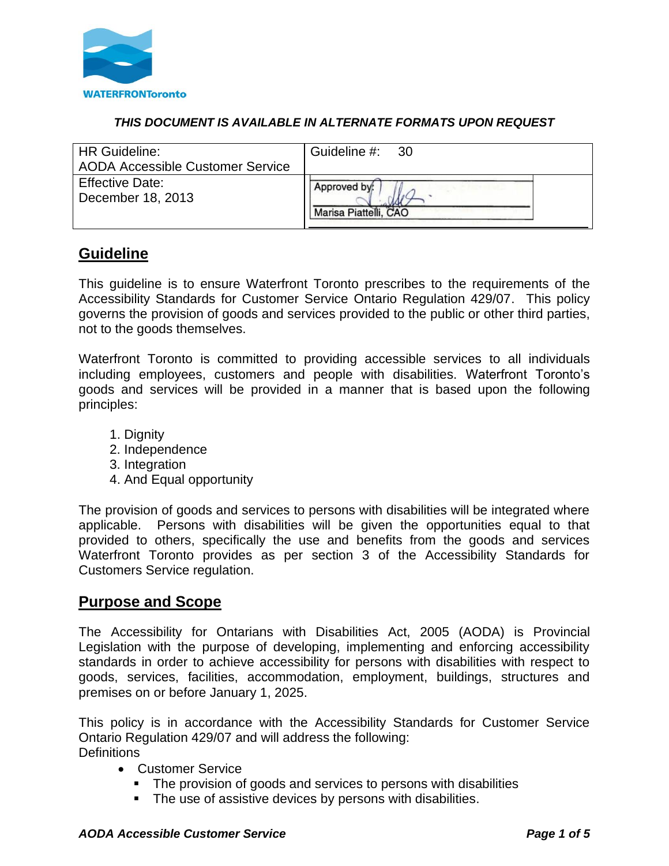

## *THIS DOCUMENT IS AVAILABLE IN ALTERNATE FORMATS UPON REQUEST*

| <b>HR Guideline:</b><br><b>AODA Accessible Customer Service</b> | Guideline #: 30       |
|-----------------------------------------------------------------|-----------------------|
| <b>Effective Date:</b>                                          | Approved by:          |
| December 18, 2013                                               | Marisa Piattelli, CAO |

# **Guideline**

This guideline is to ensure Waterfront Toronto prescribes to the requirements of the Accessibility Standards for Customer Service Ontario Regulation 429/07. This policy governs the provision of goods and services provided to the public or other third parties, not to the goods themselves.

Waterfront Toronto is committed to providing accessible services to all individuals including employees, customers and people with disabilities. Waterfront Toronto's goods and services will be provided in a manner that is based upon the following principles:

- 1. Dianity
- 2. Independence
- 3. Integration
- 4. And Equal opportunity

The provision of goods and services to persons with disabilities will be integrated where applicable. Persons with disabilities will be given the opportunities equal to that provided to others, specifically the use and benefits from the goods and services Waterfront Toronto provides as per section 3 of the Accessibility Standards for Customers Service regulation.

## **Purpose and Scope**

The Accessibility for Ontarians with Disabilities Act, 2005 (AODA) is Provincial Legislation with the purpose of developing, implementing and enforcing accessibility standards in order to achieve accessibility for persons with disabilities with respect to goods, services, facilities, accommodation, employment, buildings, structures and premises on or before January 1, 2025.

This policy is in accordance with the Accessibility Standards for Customer Service Ontario Regulation 429/07 and will address the following: **Definitions** 

- Customer Service
	- The provision of goods and services to persons with disabilities
	- The use of assistive devices by persons with disabilities.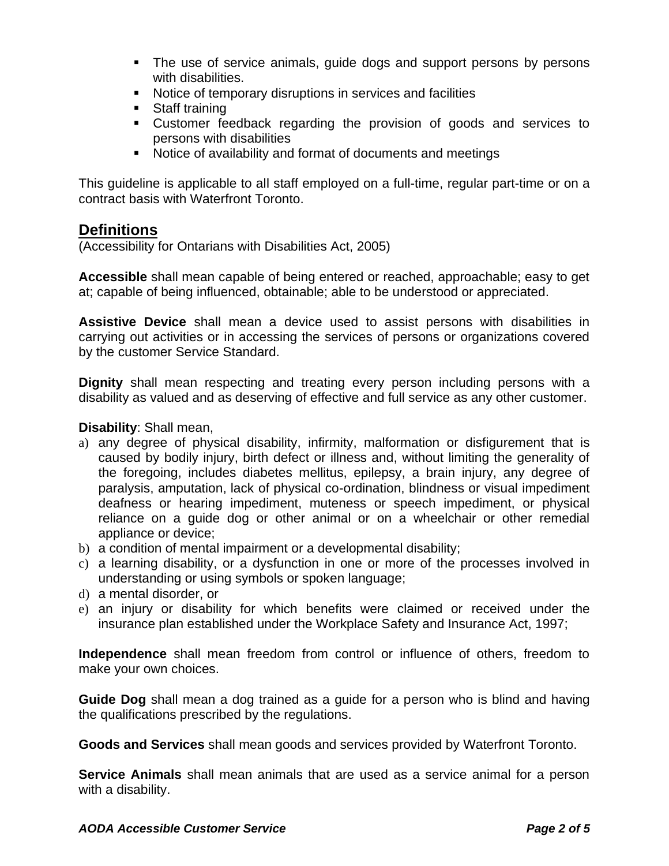- **•** The use of service animals, quide dogs and support persons by persons with disabilities.
- Notice of temporary disruptions in services and facilities
- Staff training
- Customer feedback regarding the provision of goods and services to persons with disabilities
- Notice of availability and format of documents and meetings

This guideline is applicable to all staff employed on a full-time, regular part-time or on a contract basis with Waterfront Toronto.

# **Definitions**

(Accessibility for Ontarians with Disabilities Act, 2005)

**Accessible** shall mean capable of being entered or reached, approachable; easy to get at; capable of being influenced, obtainable; able to be understood or appreciated.

**Assistive Device** shall mean a device used to assist persons with disabilities in carrying out activities or in accessing the services of persons or organizations covered by the customer Service Standard.

**Dignity** shall mean respecting and treating every person including persons with a disability as valued and as deserving of effective and full service as any other customer.

## **Disability**: Shall mean,

- a) any degree of physical disability, infirmity, malformation or disfigurement that is caused by bodily injury, birth defect or illness and, without limiting the generality of the foregoing, includes diabetes mellitus, epilepsy, a brain injury, any degree of paralysis, amputation, lack of physical co-ordination, blindness or visual impediment deafness or hearing impediment, muteness or speech impediment, or physical reliance on a guide dog or other animal or on a wheelchair or other remedial appliance or device;
- b) a condition of mental impairment or a developmental disability;
- c) a learning disability, or a dysfunction in one or more of the processes involved in understanding or using symbols or spoken language;
- d) a mental disorder, or
- e) an injury or disability for which benefits were claimed or received under the insurance plan established under the Workplace Safety and Insurance Act, 1997;

**Independence** shall mean freedom from control or influence of others, freedom to make your own choices.

**Guide Dog** shall mean a dog trained as a guide for a person who is blind and having the qualifications prescribed by the regulations.

**Goods and Services** shall mean goods and services provided by Waterfront Toronto.

**Service Animals** shall mean animals that are used as a service animal for a person with a disability.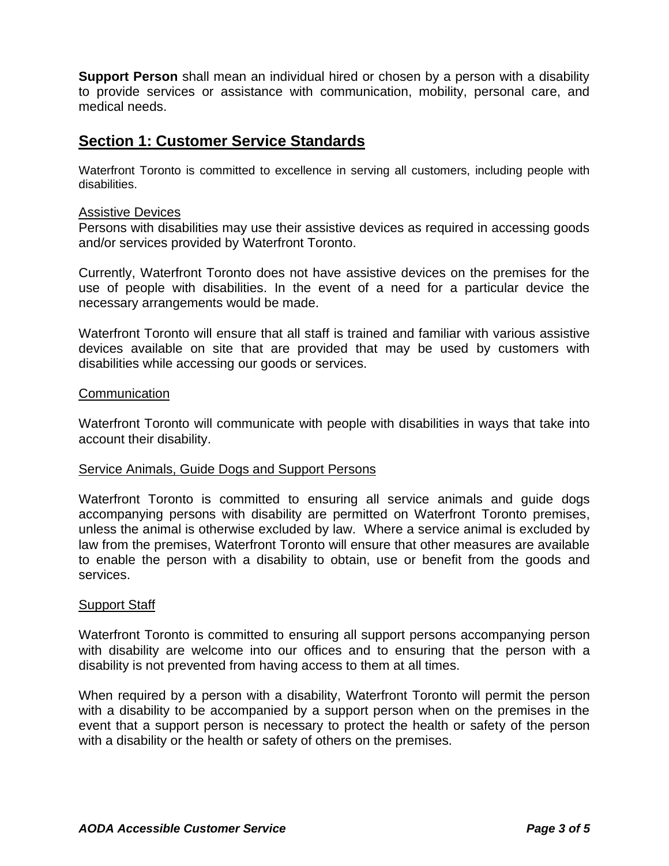**Support Person** shall mean an individual hired or chosen by a person with a disability to provide services or assistance with communication, mobility, personal care, and medical needs.

# **Section 1: Customer Service Standards**

Waterfront Toronto is committed to excellence in serving all customers, including people with disabilities.

### **Assistive Devices**

Persons with disabilities may use their assistive devices as required in accessing goods and/or services provided by Waterfront Toronto.

Currently, Waterfront Toronto does not have assistive devices on the premises for the use of people with disabilities. In the event of a need for a particular device the necessary arrangements would be made.

Waterfront Toronto will ensure that all staff is trained and familiar with various assistive devices available on site that are provided that may be used by customers with disabilities while accessing our goods or services.

#### **Communication**

Waterfront Toronto will communicate with people with disabilities in ways that take into account their disability.

#### Service Animals, Guide Dogs and Support Persons

Waterfront Toronto is committed to ensuring all service animals and guide dogs accompanying persons with disability are permitted on Waterfront Toronto premises, unless the animal is otherwise excluded by law. Where a service animal is excluded by law from the premises, Waterfront Toronto will ensure that other measures are available to enable the person with a disability to obtain, use or benefit from the goods and services.

#### Support Staff

Waterfront Toronto is committed to ensuring all support persons accompanying person with disability are welcome into our offices and to ensuring that the person with a disability is not prevented from having access to them at all times.

When required by a person with a disability, Waterfront Toronto will permit the person with a disability to be accompanied by a support person when on the premises in the event that a support person is necessary to protect the health or safety of the person with a disability or the health or safety of others on the premises.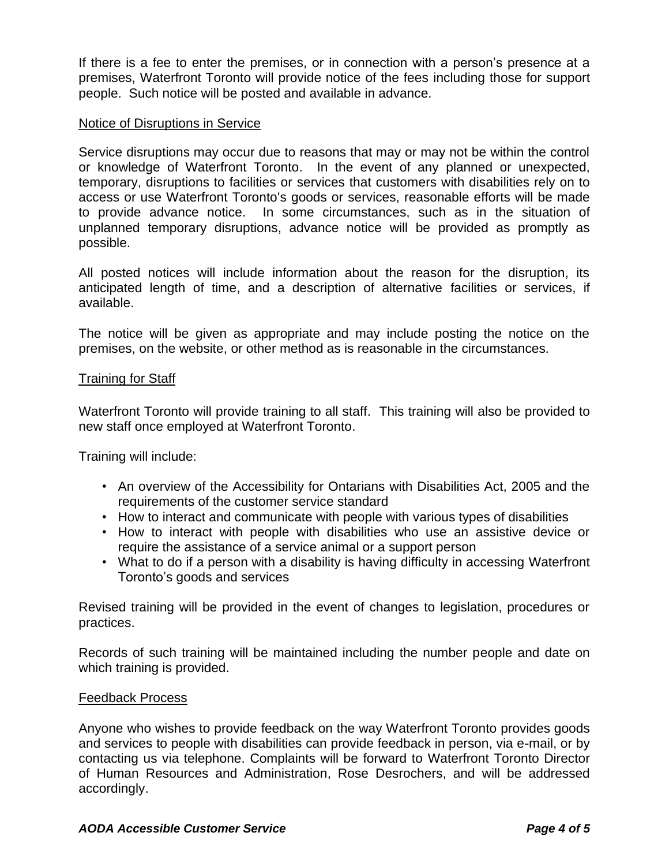If there is a fee to enter the premises, or in connection with a person's presence at a premises, Waterfront Toronto will provide notice of the fees including those for support people. Such notice will be posted and available in advance.

### Notice of Disruptions in Service

Service disruptions may occur due to reasons that may or may not be within the control or knowledge of Waterfront Toronto. In the event of any planned or unexpected, temporary, disruptions to facilities or services that customers with disabilities rely on to access or use Waterfront Toronto's goods or services, reasonable efforts will be made to provide advance notice. In some circumstances, such as in the situation of unplanned temporary disruptions, advance notice will be provided as promptly as possible.

All posted notices will include information about the reason for the disruption, its anticipated length of time, and a description of alternative facilities or services, if available.

The notice will be given as appropriate and may include posting the notice on the premises, on the website, or other method as is reasonable in the circumstances.

### Training for Staff

Waterfront Toronto will provide training to all staff. This training will also be provided to new staff once employed at Waterfront Toronto.

Training will include:

- An overview of the Accessibility for Ontarians with Disabilities Act, 2005 and the requirements of the customer service standard
- How to interact and communicate with people with various types of disabilities
- How to interact with people with disabilities who use an assistive device or require the assistance of a service animal or a support person
- What to do if a person with a disability is having difficulty in accessing Waterfront Toronto's goods and services

Revised training will be provided in the event of changes to legislation, procedures or practices.

Records of such training will be maintained including the number people and date on which training is provided.

#### Feedback Process

Anyone who wishes to provide feedback on the way Waterfront Toronto provides goods and services to people with disabilities can provide feedback in person, via e-mail, or by contacting us via telephone. Complaints will be forward to Waterfront Toronto Director of Human Resources and Administration, Rose Desrochers, and will be addressed accordingly.